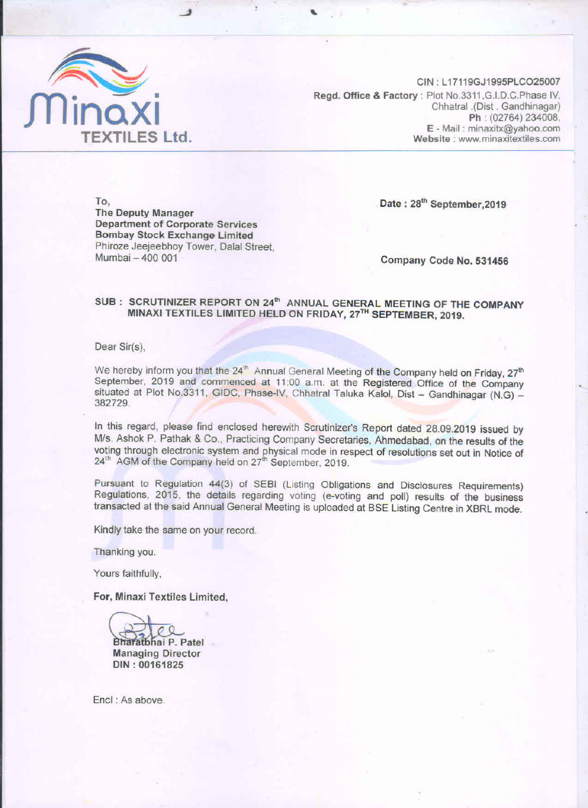

CIN: L17119GJ1995PLCO25007 Regd. Office & Factory : Plot No.3311, G.I.D.C. Phase IV, Chhatral .(Dist. Gandhinagar) Ph: (02764) 234008, E - Mail: minaxitx@yahoo.com Website: www.minaxitextiles.com

To, **The Deputy Manager Department of Corporate Services Bombay Stock Exchange Limited** Phiroze Jeejeebhoy Tower, Dalal Street, Mumbai - 400 001

Date: 28<sup>th</sup> September.2019

Company Code No. 531456

#### SUB: SCRUTINIZER REPORT ON 24<sup>th</sup> ANNUAL GENERAL MEETING OF THE COMPANY MINAXI TEXTILES LIMITED HELD ON FRIDAY, 27TH SEPTEMBER, 2019.

Dear Sir(s),

We hereby inform you that the 24<sup>th</sup> Annual General Meeting of the Company held on Friday, 27<sup>th</sup> September, 2019 and commenced at 11:00 a.m. at the Registered Office of the Company situated at Plot No.3311, GIDC, Phase-IV, Chhatral Taluka Kalol, Dist - Gandhinagar (N.G) -382729.

In this regard, please find enclosed herewith Scrutinizer's Report dated 28.09.2019 issued by M/s. Ashok P. Pathak & Co., Practicing Company Secretaries, Ahmedabad, on the results of the voting through electronic system and physical mode in respect of resolutions set out in Notice of 24<sup>th</sup> AGM of the Company held on 27<sup>th</sup> September, 2019.

Pursuant to Regulation 44(3) of SEBI (Listing Obligations and Disclosures Requirements) Regulations, 2015, the details regarding voting (e-voting and poll) results of the business transacted at the said Annual General Meeting is uploaded at BSE Listing Centre in XBRL mode.

Kindly take the same on your record.

Thanking you.

Yours faithfully,

For, Minaxi Textiles Limited,



Bharatbhai P. Patel **Managing Director** DIN: 00161825

Encl: As above.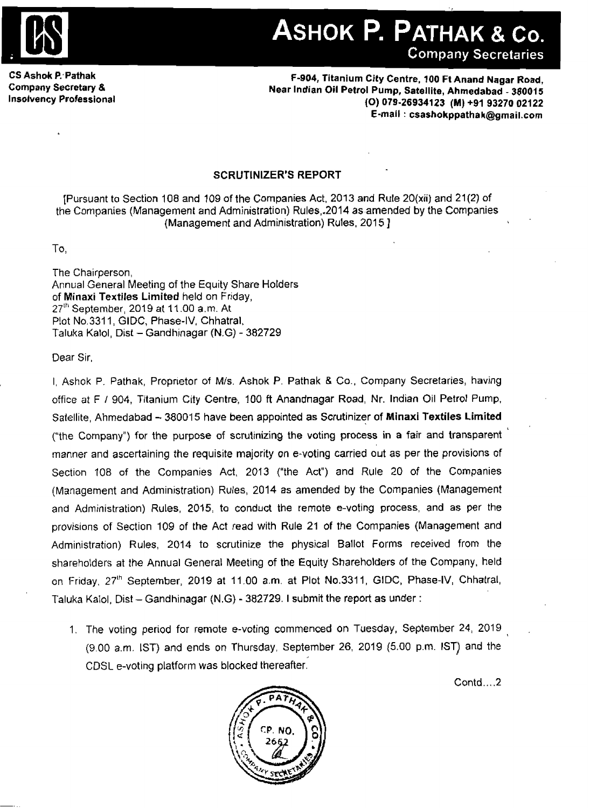

**CS Ashok P:Pathak Company Secretary** & **Insolvency Professional** 

**5904, Titanium City Centre, 100 Ft Anand Nagar Road, Near Indian Oil Petrol Pump, Satellite, Ahmedabad** - **38001 5 (0) 079-26934123 (M) +91 93270 02122 E-mail** : **csashokppathak@grnail.com** 

### **SCRUTINIZER'S REPORT**

[Pursuant to Section 108 and 109 of the Companies Act, 2013 **and** Rule **20(xii)** and 21{2] of the Companies (Management and Administration) Rules,.2014 **as,amended** by the Companies (Management and Administration) Rules, 2015 ]

To.

The Chairperson, Annual General Meeting of the Equity Share Holders of **Minaxi Textiles Limited** held on Friday, ~7'~ September, **<sup>2019</sup>**at I <sup>I</sup>.00 a.m. At Plot No.3311, GIDC, Phase-IV, Chhatral, Taluka Kalol, Dist - Gandhinagar **(N.G)** - 382729

Dear Sir,

I, Ashok P. Pathak, Proprietor of M/s. Ashok P. Pathak & Co., Company Secretaries, having office at F 1 904, Titanium City Centre, 100 ft Anandnagar Road, Nr. Indian Oil **Petrol** Pump, Satellite, Ahmedabad - 38001 **5** have **been** appointed **as** Scrutinizer of **Minaxi Textiles Limited**  ("the Company") for the purpose of scrutinizing the voting process in a fair and transparent manner and ascertaining the requisite majority on e-voting carried out as per the provisions of Section 108 of the Companies Act, 2013 ("the **Act")** and Rule 20 of the Companies (Management and Administration) Rules, 2014 as amended by the Companies (Management and Administration) Rules, 2015, **to** conduct the remote e-voting **process,** and as per the provisions of Section 109 of the Act read with Rule **21** of the Companies (Management and Administration) Rules, 2014 to scrutinize the physical Ballot Forms received from the shareholders at the Annual General Meeting of the Equity Shareholders of the Company, **held**  on Friday, 271h September, 2019 at 11.00 **a.m.** at Plot **No.3311,** GIDC, Phase-IV, Chhatral, Taluka Kalol, Dist - Gandhinagar (N.G) - **382729.1** submit **the report as under** :

1. The voting period for remote e-voting commenced on Tuesday, September **24,** 2019 , (9.00 a.m. IST) and ends on Thursday, September 26, 2019 (5.00 **p.m.** IST) and the CDSL e-voting platform was blocked thereafter

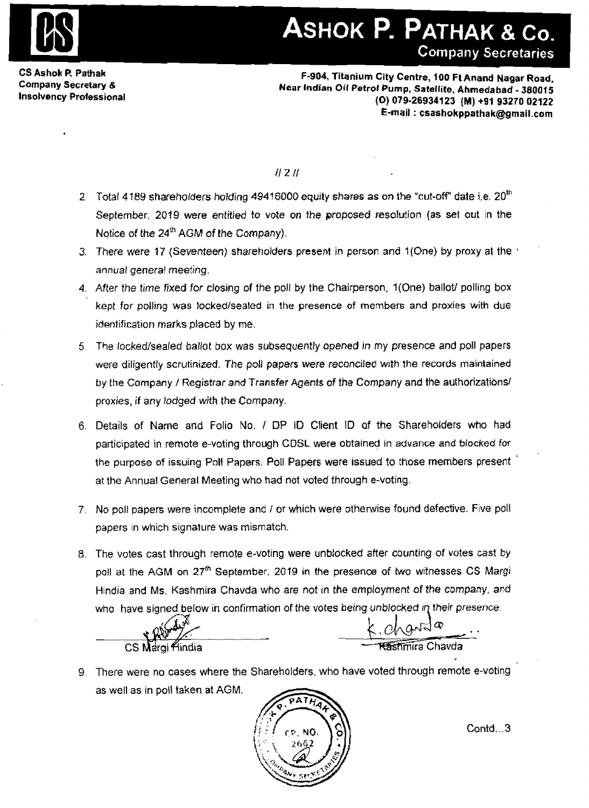

**CS Ashok P, Pathak Company Secretary** & **Insolvency Professional** 

**F-904, Titanium City Centre, 100 Ft Anand Nagar Road, Near lndian Oil Petrol Pump, Satellite, Ahmedabad** - **380015 (0) 079-26934123 {M) +91 93270 02122 E-mail** : **csashokppathak@gmail.com** 

 $H2H$ 

- **2** Total **4** 189 **shareholders** *holding* **49416000 equity shares as on the** "cut-off' **date i.e.** 2oth September, **2019 were** *entitled* to **vote on** the **proposed** resolution (as **set** out In the **Notice** of the **241h AGM** of **the Company).**
- **3.** There *were* 17 (Seventeen) **shareholders** present in person and l(One) **by proxy at** the ' *annual* **general** meeting.
- **4.** After *the time* **fixed** for closing **of** the poll **by** the Chairperson, l(One) ballotl polling box *kept for* polling **was** lockedlsea!ed in **the presence** of **members and proxies** with **due**  identification marks **placed by** me.
- 5 The **lockedlsealed ballot box was** subsequently **opened** in **my** presence **and** poll **papers**  were diligently **scrutinized.** The poll *papers* were reconciled with **the records** maintained **by** the Company *I* **Registrar and Transfer Agents** of **the** Company and the authorizationsl proxies, if any *lodged* **with the** Company.
- 6. Details of **Name and** Folio No. *I* DP ID Client ID af the Shareholders who had participated in remote e-voting through CDSL **were obtained** in **advance and blocked** for the purpose of issuing Poll Papers. Poll **Papers** were issued to those **members** present ' at the Annual General Meeting who had not voted through e-voting.
- 7. **No** poll papers were incomplete and I or which were otherwise found defective. Five poll papers **In** which signature **was** mismatch.
- 8. The votes cast through remote e-voting were unblocked after counting of **votes** cast **by**  poll at the **AGM** on **27th September, 2019 in the presence of** two **witnesses** CS Margi Hindia and Ms. Kashmira Chavda who are not in the employment of the company, and who have signed below in confirmation of the votes being unblocked in their presence.

CS Margi <del>findia</del>

<u> Cashmira</u> Chavda

9. There were no cases where the Shareholders, who have voted through remote e-voting as well as in poll taken at **AGM.** 

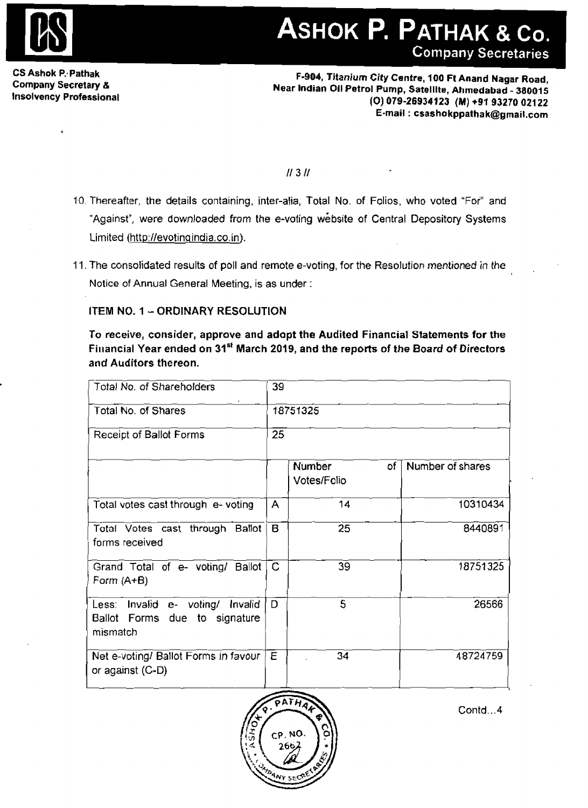

## **CS Ashok P: Pathak F-904, Titanium City Centre, 100 Ft Aaand Nagar Road, Company Secretary** & **Near Indian 011 Petrol Pump,** Satellite, **Ahmedabad** - **38001 5 Insolvency Professional (0) 079-26934123 (M) +91 93270 021 22 E-mail** : **csashokppatha k@gmail.com**

 $11311$ 

- 10. Thereafter, the details containing, inter-alia, Total No, of Folios, who voted "Foi" and "Against", were downloaded from the e-voting website of Central Depository Systems Limited (http://evotingindia.co.in).
- 11. The consolidated results of poll and remote e-voting, for the Resolution *mentioned* in **the**  Notice of Annual General Meeting, is **as** under :

### **ITEM NO. 1 - ORDINARY RESOLUTION**

**To receive, consider, approve and adopt the Audited Financial Statements for the**  Financial **Year ended on 31'' March 2019, and the reports of the Board of Directors and Auditors thereon.** 

| Total No. of Shareholders                                                        | 39             |                                    |                  |  |  |  |
|----------------------------------------------------------------------------------|----------------|------------------------------------|------------------|--|--|--|
| $\sim 10^{-1}$<br>Total No. of Shares                                            |                | 18751325                           |                  |  |  |  |
| Receipt of Ballot Forms                                                          |                | 25                                 |                  |  |  |  |
|                                                                                  |                | <b>Number</b><br>of<br>Votes/Folio | Number of shares |  |  |  |
| Total votes cast through e-voting                                                | $\mathsf{A}$   | 14                                 | 10310434         |  |  |  |
| Total Votes cast through Ballot $\mid$ B.<br>forms received                      |                | 25                                 | 8440891          |  |  |  |
| Grand Total of e- voting/ Ballot<br>Form $(A+B)$                                 | $\overline{C}$ | 39 <sub>o</sub>                    | 18751325         |  |  |  |
| Less: Invalid e- voting/ Invalid<br>Ballot Forms due<br>to signature<br>mismatch | D              | 5                                  | 26566            |  |  |  |
| Net e-voting/ Ballot Forms in favour<br>or against (C-D)                         | $E_{\perp}$    | 34                                 | 48724759         |  |  |  |

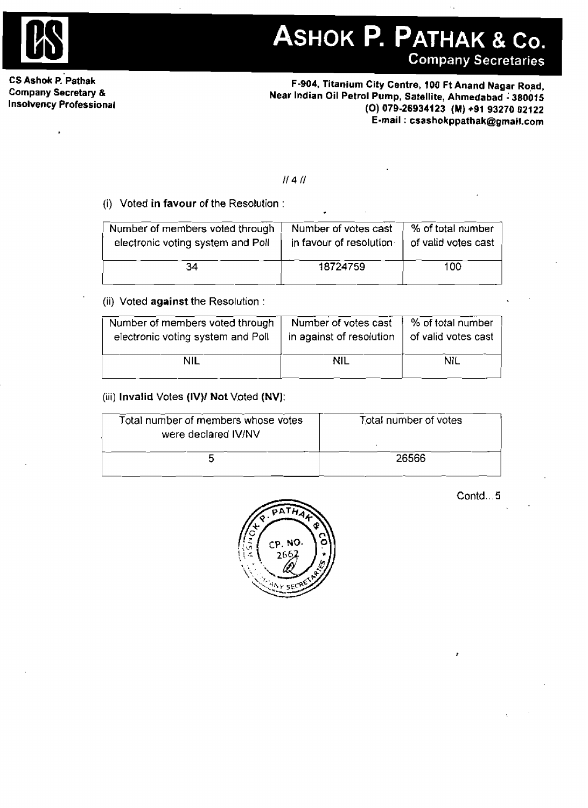

V.

**CS Ashok P. Pathak Company Secretary** *8*  **Insolvency Professional** 

 $\overline{a}$ 

**F-904, Titanium City Centre, 700 Ft Anand Nagar Rqad, Near Indian Oil Petrol Pump, Satellite, Ahmedabad** 1 **380015 (0) 079-26934123 (M) +91 93270 02122 E-mail** : **csashokppathak@~rnail.com** 

#### $||4||$

#### (i) Voted in **favour of the** Resolution :

| Number of members voted through   | Number of votes cast    | % of total number   |
|-----------------------------------|-------------------------|---------------------|
| electronic voting system and Poll | in favour of resolution | of valid votes cast |
| 34                                | 18724759                | 100                 |

#### (ii) Voted **against** the Resolution :

| Number of members voted through   | Number of votes cast     | $%$ of total number |
|-----------------------------------|--------------------------|---------------------|
| electronic voting system and Poll | in against of resolution | of valid votes cast |
| <b>NIL</b>                        | NIL                      | NIL.                |

#### (iii) **Invalid** Votes **(IV)] Not** Voted **(NV):**

| (iii) Invalid Votes (IV)/ Not Voted (NV):                  |                       |
|------------------------------------------------------------|-----------------------|
| Total number of members whose votes<br>were declared IV/NV | Total number of votes |
| ҕ                                                          | 26566                 |

| PATHA         |            |
|---------------|------------|
| NO.<br>С۴     |            |
| 2662          |            |
| ٤<br>م-<br>58 | <b>IAN</b> |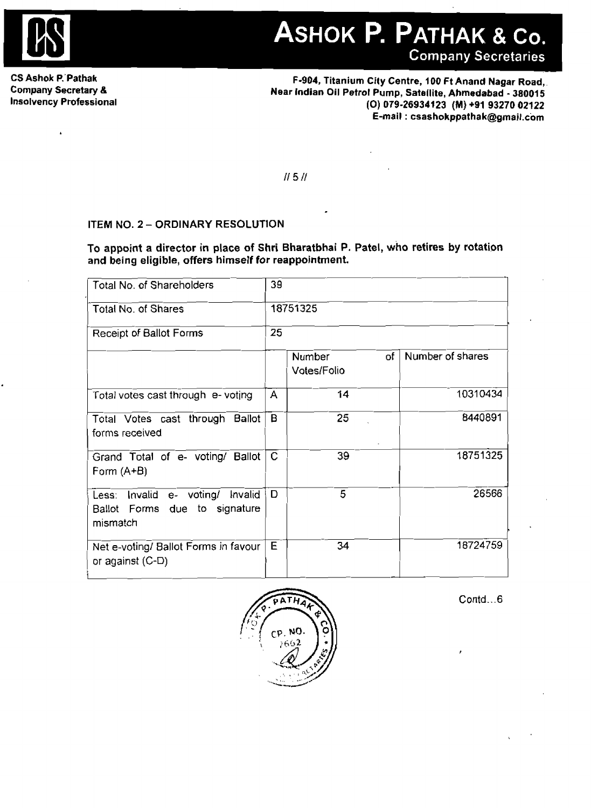

**CS Ashok P.'Pathak Company Secretary** *8*  **Insolvency Professional**  ASHOK P. PATHAK & Co. **Company Secretaries** 

**F-904, Titanium City Centre, 100 Ft Anand Nagar Road, Near Indian Oil Petrol Pump, Satellite, Ahmedabad** - **38001 5 (0) 079-26934123 (M) +91 93270 02122 E-mail** : **esashokppathak@gmail.com** 

 $II$  5 $II$ 

#### **ITEM NO. 2** - **ORDINARY RESOLUTION**

| Total No. of Shareholders                                                           | 39 |                                    |                  |
|-------------------------------------------------------------------------------------|----|------------------------------------|------------------|
| Total No. of Shares                                                                 |    | 18751325                           |                  |
| Receipt of Ballot Forms                                                             | 25 |                                    |                  |
|                                                                                     |    | <b>Number</b><br>of<br>Votes/Folio | Number of shares |
| Total votes cast through e- voting                                                  | A  | 14                                 | 10310434         |
| Total Votes cast through Ballot<br>forms received                                   | B  | 25                                 | 8440891          |
| Grand Total of e- voting/ Ballot<br>Form (A+B)                                      | C  | 39                                 | 18751325         |
| Less: Invalid<br>e- voting/<br>Invalid<br>Ballot Forms due to signature<br>mismatch | D  | $\overline{5}$                     | 26566            |
| Net e-voting/ Ballot Forms in favour<br>or against $(C-D)$                          | E  | 34                                 | 18724759         |

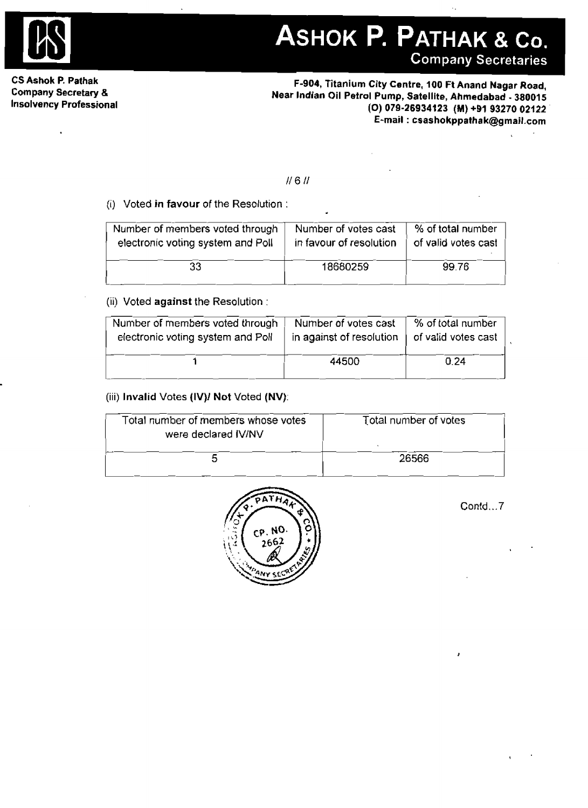

**CS Ashok P. Pathak Company Secretary B Insolvency Professional** 

**F-904, Titanium City Centre, 100 Ft Anand Nagar Road, Near Indian Oil Petml Pump, Satellite, Ahmedabad** - **380015 (0) 079-26934123 (MI +91 93270 02122**   $E$ -mail : csashokppathak@gmail.com

#### (i) Voted **in favour** of the Resolution :

|                                                                      | 11 G II                                         |                                          |
|----------------------------------------------------------------------|-------------------------------------------------|------------------------------------------|
| (i) Voted in favour of the Resolution:                               | ٠                                               |                                          |
| Number of members voted through<br>electronic voting system and Poll | Number of votes cast<br>in favour of resolution | % of total number<br>of valid votes cast |
| 33                                                                   | 18680259                                        | 99.76                                    |
|                                                                      |                                                 |                                          |

#### (ii) Voted **against** the Resolution :

| Number of members voted through   | Number of votes cast     | % of total number   |  |
|-----------------------------------|--------------------------|---------------------|--|
| electronic voting system and Poll | in against of resolution | of valid votes cast |  |
|                                   | 44500                    | 0.24                |  |

#### (iii) **Invalid** Votes **(IV)I Not Voted (NV):**

| Total number of members whose votes<br>were declared IV/NV | Total number of votes |  |
|------------------------------------------------------------|-----------------------|--|
|                                                            |                       |  |
|                                                            | 26566                 |  |

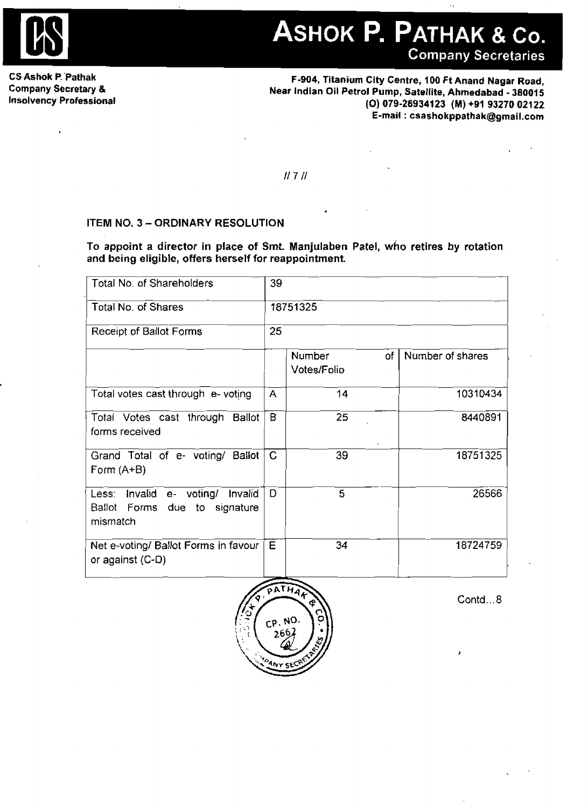

**CS Ashok P. Pathak Company Secretary** & **Insolvency Professional** 

**F-904, Titanium City Centre, 100** *Ft* **Anand Nagar Road, Near Indian Oil Petrol Pump, Satellite, Ahmedabad** - **38001 5 (0) 079-269341 23 (M) +B1 93270 021 22 E-mail** : **csashokppathak@gmail.com** 

#### **ITEM NO. <sup>3</sup>**- **ORDINARY RESOLUTION**

|                                                                                                                                                                                      |              | II 7 II               |      |                  |  |  |
|--------------------------------------------------------------------------------------------------------------------------------------------------------------------------------------|--------------|-----------------------|------|------------------|--|--|
| <b>ITEM NO. 3 - ORDINARY RESOLUTION</b><br>To appoint a director in place of Smt. Manjulaben Patel, who retires by rotation<br>and being eligible, offers herself for reappointment. |              |                       |      |                  |  |  |
| Total No. of Shareholders                                                                                                                                                            | 39           |                       |      |                  |  |  |
| Total No. of Shares                                                                                                                                                                  |              | 18751325              |      |                  |  |  |
| Receipt of Ballot Forms                                                                                                                                                              |              | 25                    |      |                  |  |  |
|                                                                                                                                                                                      |              | Number<br>Votes/Folio | of I | Number of shares |  |  |
| Total votes cast through e- voting                                                                                                                                                   | A            | 14                    |      | 10310434         |  |  |
| Total Votes cast through Ballot<br>forms received                                                                                                                                    | B            | 25                    |      | 8440891          |  |  |
| Grand Total of e- voting/ Ballot<br>Form (A+B)                                                                                                                                       | $\mathsf{C}$ | 39                    |      | 18751325         |  |  |
| Invalid e- voting/ Invalid<br>Less:<br>Ballot Forms due to signature<br>mismatch                                                                                                     | D.           | 5                     |      | 26566            |  |  |
| Net e-voting/ Ballot Forms in favour<br>or against (C-D)                                                                                                                             | E            | 34                    |      | 18724759         |  |  |
|                                                                                                                                                                                      |              |                       |      |                  |  |  |

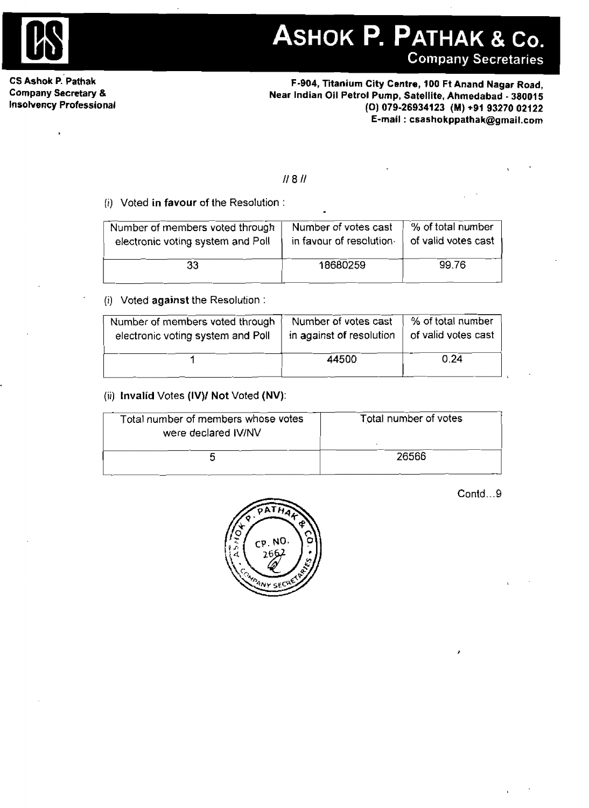

**A. Company Secretaries**<br>
Company Secretaries<br>
Company Secretaries<br>
Company Secretary &<br>
Company Secretary &<br>
Insolvency Professional<br>
Insolvency Professional<br>
Professional<br>
Company Secretary &<br>
Insolvency Professional<br> **CS Ashok ~.'Pathak F-904, Titanium City Centre, 100 Ft Anand Nagar Road, Company Secretary** & **Near Indian Oil Petrol Pump, Satellite. Ahmedabad** - **38001 5 Insolvency Professional (0) 079-26934123 (M) \*91 93270 02122 E-mail** : **csashokppathak@gmait.com** 

#### (I) Voted in **favour** of the Resolution :

| Number of members voted through   | Number of votes cast    | % of total number   |  |
|-----------------------------------|-------------------------|---------------------|--|
| electronic voting system and Poll | in favour of resolution | of valid votes cast |  |
| 33                                | 18680259                | 99.76               |  |

#### (i) Voted **against** the Resolution :

| electronic voting system and Holl                          | in favour of resciution. | or valla votes cast   |  |
|------------------------------------------------------------|--------------------------|-----------------------|--|
| 33                                                         | 18680259                 | 99.76                 |  |
| (i) Voted against the Resolution:                          |                          |                       |  |
| Number of members voted through                            | Number of votes cast     | % of total number     |  |
| electronic voting system and Poll                          | in against of resolution | of valid votes cast   |  |
| 1                                                          | 44500                    | 0.24                  |  |
| (ii) Invalid Votes $(IV)/$ Not Voted $(NV)$ :              |                          |                       |  |
| Total number of members whose votes<br>were declared IV/NV |                          | Total number of votes |  |
|                                                            |                          |                       |  |

#### (ii) **Invalid Votes (IV)! Not Voted (NV):**

| Total number of members whose votes<br>were declared IV/NV | Total number of votes |
|------------------------------------------------------------|-----------------------|
| m                                                          | 26566                 |

| Contd9 |  |
|--------|--|
|--------|--|

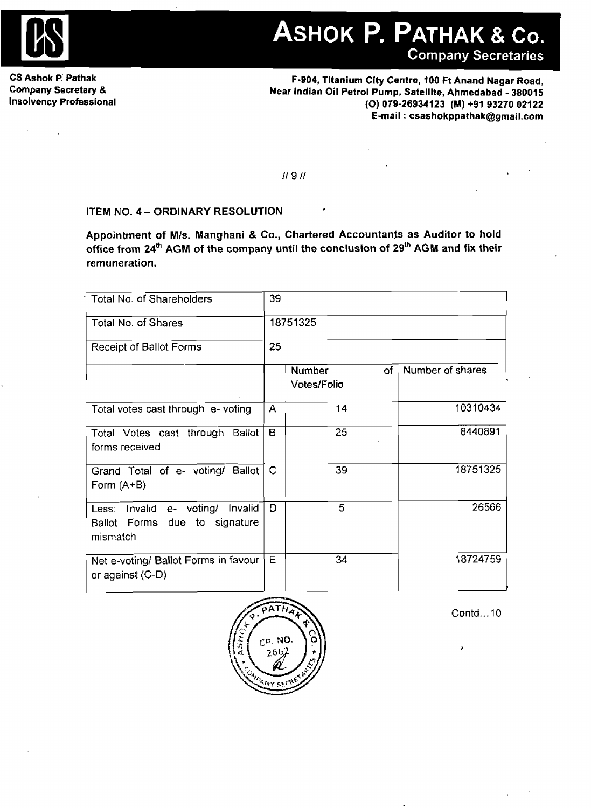

**CS Ashok P: Pathak Company Secretary 8. Insolvency Professional** 

**F-904, Titanium Clty Centre, 100 ft Anand Nagar Road, Near Indian Oil Petrol Pump, Satellite, Ahmedabad** - **38001 5 (0) 079-28934123 (M) +91 93270 02122 E-mail** : **csashokppathak@grnail.com** 

 $11911$ 

### **ITEM NO. 4** - **ORDINARY RESOLUTION**

**Appointment of Mls. Manghani** & **Co., Chartered Accountants as Auditor to hold office from ~4~~ AGM of the company until the conclusion of 2gth AGM and fix their remuneration.** 

| Total No. of Shareholders                                                     | 39          |                             |                  |
|-------------------------------------------------------------------------------|-------------|-----------------------------|------------------|
| Total No. of Shares                                                           | 18751325    |                             |                  |
| Receipt of Ballot Forms                                                       | 25          |                             |                  |
|                                                                               |             | ٥f<br>Number<br>Votes/Folio | Number of shares |
| Total votes cast through e- voting                                            | A           | 14                          | 10310434         |
| Total Votes cast through Ballot<br>forms received                             | В           | 25                          | 8440891          |
| Grand Total of e- voting/ Ballot<br>Form $(A+B)$                              | $\mathsf C$ | 39                          | 18751325         |
| Less: Invalid e- voting/ Invalid<br>Ballot Forms due to signature<br>mismatch | D           | 5.                          | 26566            |
| Net e-voting/ Ballot Forms in favour<br>or against (C-D)                      | Е           | 34                          | 18724759         |

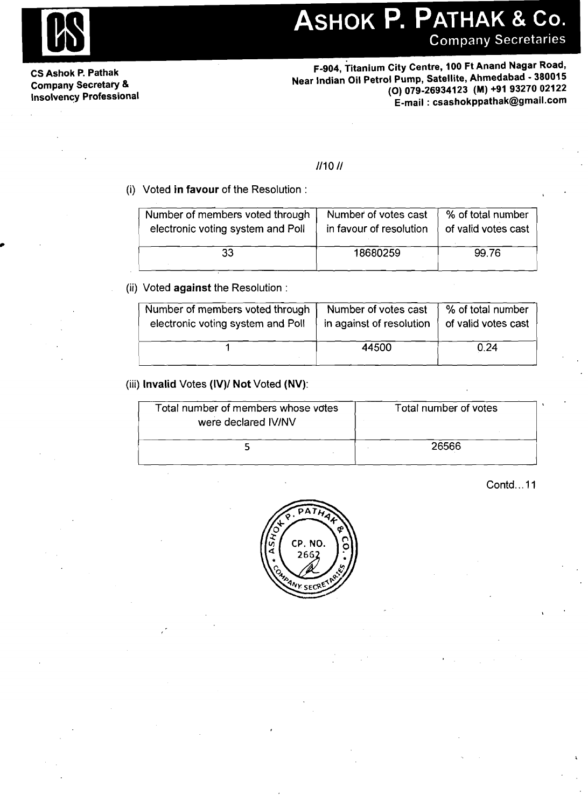**CS Ashok P. Pathak** 

F-904, Titanium City Centre, 100 Ft Anand Nagar Road, Company Secretary & **Company Secretary &** *Company Secretary &* **1999 Mear Indian Oil Petrol Pump, Satellite, Ahmedabad - 380015<br>Insolvency Professional (0) 079-26934123 (M) +91 93270 02122<br>Company Secretary & 1999-26934123 Insolvency Professional (0) 079-26934123 (M) +91 93270 02122 E-mail** : **csashokppathak@gmail.com** 

#### $1/101/$

(i) Voted **in favour** of the Resolution :

| Number of members voted through   | Number of votes cast    | % of total number   |
|-----------------------------------|-------------------------|---------------------|
| electronic voting system and Poll | in favour of resolution | of valid votes cast |
| 33                                | 18680259                | 99.76               |

#### (ii) Voted **against** the Resolution :

| Number of members voted through   | Number of votes cast     | % of total number   |
|-----------------------------------|--------------------------|---------------------|
| electronic voting system and Poll | in against of resolution | of valid votes cast |
|                                   | 44500                    | 0.24                |

#### (iii) **Invalid** Votes **(IV)1 Not** Voted **(NV):**

| Total number of members whose votes<br>were declared IV/NV | Total number of votes |  |
|------------------------------------------------------------|-----------------------|--|
|                                                            | 26566                 |  |

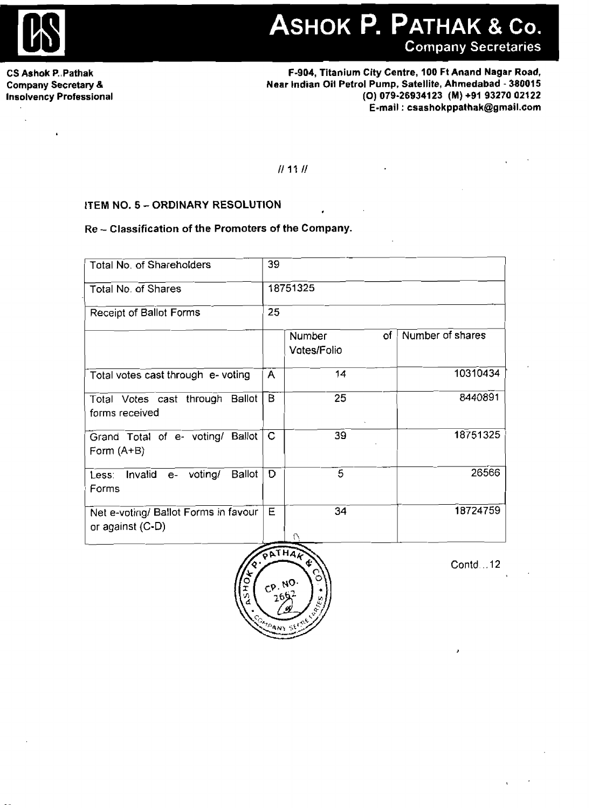

 $\ddot{\phantom{a}}$ 

**CS Ashok P., Pathak Company Secretary** & **Insolvency Professional** 

#### **ITEM NO. 5 - ORDINARY RESOLUTION**

#### **Re** - **Classification of the Promoters of the Company.**

|                                                                                        |             |                       |    | ASHOK P. PATHAK & Co.<br><b>Company Secretaries</b>                                                                                                                                             |
|----------------------------------------------------------------------------------------|-------------|-----------------------|----|-------------------------------------------------------------------------------------------------------------------------------------------------------------------------------------------------|
| ak<br>ıry &<br>ssional                                                                 |             |                       |    | F-904, Titanium City Centre, 100 Ft Anand Nagar Road,<br>Near Indian Oil Petrol Pump, Satellite, Ahmedabad - 380015<br>(O) 079-26934123 (M) +91 93270 02122<br>E-mail: csashokppathak@gmail.com |
|                                                                                        |             | 11111                 |    |                                                                                                                                                                                                 |
| ITEM NO. 5 - ORDINARY RESOLUTION<br>Re-Classification of the Promoters of the Company. |             |                       |    |                                                                                                                                                                                                 |
| Total No. of Shareholders                                                              | 39          |                       |    |                                                                                                                                                                                                 |
| Total No. of Shares                                                                    |             | 18751325              |    |                                                                                                                                                                                                 |
| Receipt of Ballot Forms                                                                | 25          |                       |    |                                                                                                                                                                                                 |
|                                                                                        |             | Number<br>Votes/Folio | of | Number of shares                                                                                                                                                                                |
| Total votes cast through e- voting                                                     | A           | 14                    |    | 10310434                                                                                                                                                                                        |
| Total Votes cast through Ballot<br>forms received                                      | $\mathbf B$ | 25                    |    | 8440891                                                                                                                                                                                         |
| Grand Total of e- voting/ Ballot   C<br>Form (A+B)                                     |             | 39                    |    | 18751325                                                                                                                                                                                        |
| Ballot <sup>]</sup><br>Less: Invalid e- voting/<br>Forms                               | D.          | $\overline{5}$        |    | 26566                                                                                                                                                                                           |
| Net e-voting/ Ballot Forms in favour<br>or against (C-D)                               | E           | 34                    |    | 18724759                                                                                                                                                                                        |



Contd . **.I2**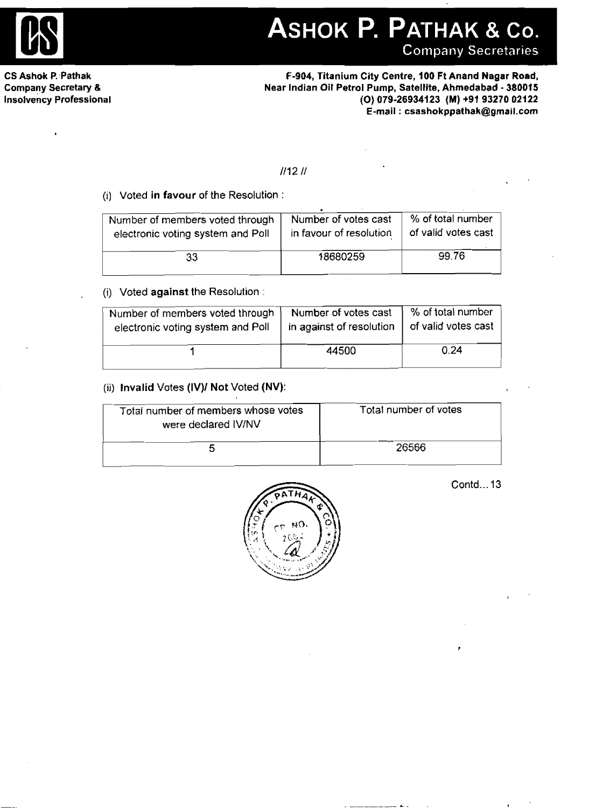

ASHOK P. PATHAK & Co.

**Company Secretaries** 

**CS Ashok P.,Pathak Company Secretary** & **insolvency Professional** 

**F-904, Titanium City Centre, I00 Ft Anand Nagar Road, Near Indian Oil Petrol Pump, Satellite, Ahmedabad** - **380015 (0) 079-26934123 (M) +91 93270 02122 E-mail** : **csashokppathak@gmail.com** 

#### $111211$

#### (i) **Voted in favour** of the Resolution :

| Number of members voted through   | Number of votes cast    | % of total number   |
|-----------------------------------|-------------------------|---------------------|
| electronic voting system and Poll | in favour of resolution | of valid votes cast |
| 33                                | 18680259                | 99.76               |

#### (i) Voted **against the Resolution** :

| Number of members voted through   | Number of votes cast     | % of total number   |
|-----------------------------------|--------------------------|---------------------|
| electronic voting system and Poll | in against of resolution | of valid votes cast |
|                                   | 44500                    | 0.24                |

### **(ii) Invalid** Votes **(IV)I Not Voted (NV):**

| Total number of members whose votes<br>were declared IV/NV | Total number of votes |
|------------------------------------------------------------|-----------------------|
|                                                            | 26566                 |